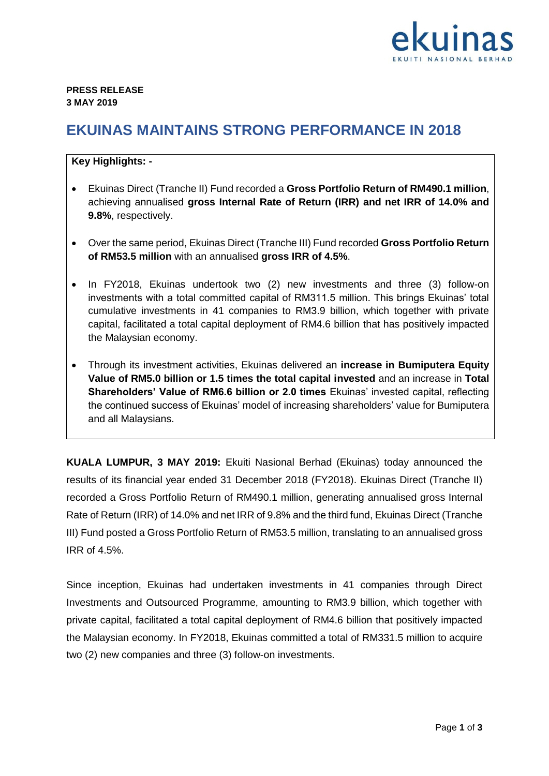

## **EKUINAS MAINTAINS STRONG PERFORMANCE IN 2018**

## **Key Highlights: -**

- Ekuinas Direct (Tranche II) Fund recorded a **Gross Portfolio Return of RM490.1 million**, achieving annualised **gross Internal Rate of Return (IRR) and net IRR of 14.0% and 9.8%**, respectively.
- Over the same period, Ekuinas Direct (Tranche III) Fund recorded **Gross Portfolio Return of RM53.5 million** with an annualised **gross IRR of 4.5%**.
- In FY2018, Ekuinas undertook two (2) new investments and three (3) follow-on investments with a total committed capital of RM311.5 million. This brings Ekuinas' total cumulative investments in 41 companies to RM3.9 billion, which together with private capital, facilitated a total capital deployment of RM4.6 billion that has positively impacted the Malaysian economy.
- Through its investment activities, Ekuinas delivered an **increase in Bumiputera Equity Value of RM5.0 billion or 1.5 times the total capital invested** and an increase in **Total Shareholders' Value of RM6.6 billion or 2.0 times** Ekuinas' invested capital, reflecting the continued success of Ekuinas' model of increasing shareholders' value for Bumiputera and all Malaysians.

**KUALA LUMPUR, 3 MAY 2019:** Ekuiti Nasional Berhad (Ekuinas) today announced the results of its financial year ended 31 December 2018 (FY2018). Ekuinas Direct (Tranche II) recorded a Gross Portfolio Return of RM490.1 million, generating annualised gross Internal Rate of Return (IRR) of 14.0% and net IRR of 9.8% and the third fund, Ekuinas Direct (Tranche III) Fund posted a Gross Portfolio Return of RM53.5 million, translating to an annualised gross IRR of 4.5%.

Since inception, Ekuinas had undertaken investments in 41 companies through Direct Investments and Outsourced Programme, amounting to RM3.9 billion, which together with private capital, facilitated a total capital deployment of RM4.6 billion that positively impacted the Malaysian economy. In FY2018, Ekuinas committed a total of RM331.5 million to acquire two (2) new companies and three (3) follow-on investments.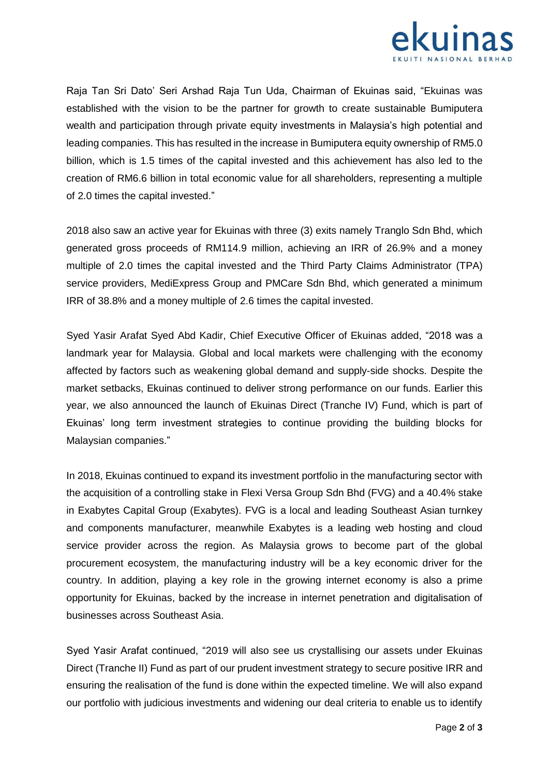

Raja Tan Sri Dato' Seri Arshad Raja Tun Uda, Chairman of Ekuinas said, "Ekuinas was established with the vision to be the partner for growth to create sustainable Bumiputera wealth and participation through private equity investments in Malaysia's high potential and leading companies. This has resulted in the increase in Bumiputera equity ownership of RM5.0 billion, which is 1.5 times of the capital invested and this achievement has also led to the creation of RM6.6 billion in total economic value for all shareholders, representing a multiple of 2.0 times the capital invested."

2018 also saw an active year for Ekuinas with three (3) exits namely Tranglo Sdn Bhd, which generated gross proceeds of RM114.9 million, achieving an IRR of 26.9% and a money multiple of 2.0 times the capital invested and the Third Party Claims Administrator (TPA) service providers, MediExpress Group and PMCare Sdn Bhd, which generated a minimum IRR of 38.8% and a money multiple of 2.6 times the capital invested.

Syed Yasir Arafat Syed Abd Kadir, Chief Executive Officer of Ekuinas added, "2018 was a landmark year for Malaysia. Global and local markets were challenging with the economy affected by factors such as weakening global demand and supply-side shocks. Despite the market setbacks, Ekuinas continued to deliver strong performance on our funds. Earlier this year, we also announced the launch of Ekuinas Direct (Tranche IV) Fund, which is part of Ekuinas' long term investment strategies to continue providing the building blocks for Malaysian companies."

In 2018, Ekuinas continued to expand its investment portfolio in the manufacturing sector with the acquisition of a controlling stake in Flexi Versa Group Sdn Bhd (FVG) and a 40.4% stake in Exabytes Capital Group (Exabytes). FVG is a local and leading Southeast Asian turnkey and components manufacturer, meanwhile Exabytes is a leading web hosting and cloud service provider across the region. As Malaysia grows to become part of the global procurement ecosystem, the manufacturing industry will be a key economic driver for the country. In addition, playing a key role in the growing internet economy is also a prime opportunity for Ekuinas, backed by the increase in internet penetration and digitalisation of businesses across Southeast Asia.

Syed Yasir Arafat continued, "2019 will also see us crystallising our assets under Ekuinas Direct (Tranche II) Fund as part of our prudent investment strategy to secure positive IRR and ensuring the realisation of the fund is done within the expected timeline. We will also expand our portfolio with judicious investments and widening our deal criteria to enable us to identify